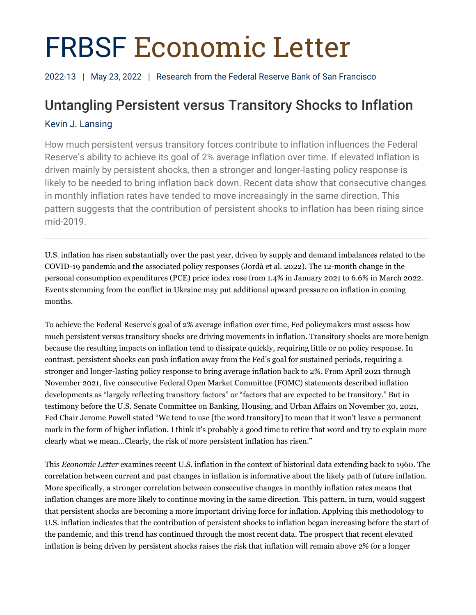# FRBSF Economic Letter

2022-13 | May 23, 2022 | Research from the Federal Reserve Bank of San Francisco

# Untangling Persistent versus Transitory Shocks to Inflation

# Kevin J. Lansing

How much persistent versus transitory forces contribute to inflation influences the Federal Reserve's ability to achieve its goal of 2% average inflation over time. If elevated inflation is driven mainly by persistent shocks, then a stronger and longer-lasting policy response is likely to be needed to bring inflation back down. Recent data show that consecutive changes in monthly inflation rates have tended to move increasingly in the same direction. This pattern suggests that the contribution of persistent shocks to inflation has been rising since mid-2019.

U.S. inflation has risen substantially over the past year, driven by supply and demand imbalances related to the COVID-19 pandemic and the associated policy responses (Jordà et al. 2022). The 12-month change in the personal consumption expenditures (PCE) price index rose from 1.4% in January 2021 to 6.6% in March 2022. Events stemming from the conflict in Ukraine may put additional upward pressure on inflation in coming months.

To achieve the Federal Reserve's goal of 2% average inflation over time, Fed policymakers must assess how much persistent versus transitory shocks are driving movements in inflation. Transitory shocks are more benign because the resulting impacts on inflation tend to dissipate quickly, requiring little or no policy response. In contrast, persistent shocks can push inflation away from the Fed's goal for sustained periods, requiring a stronger and longer-lasting policy response to bring average inflation back to 2%. From April 2021 through November 2021, five consecutive Federal Open Market Committee (FOMC) statements described inflation developments as "largely reflecting transitory factors" or "factors that are expected to be transitory." But in testimony before the U.S. Senate Committee on Banking, Housing, and Urban Affairs on November 30, 2021, Fed Chair Jerome Powell stated "We tend to use [the word transitory] to mean that it won't leave a permanent mark in the form of higher inflation. I think it's probably a good time to retire that word and try to explain more clearly what we mean...Clearly, the risk of more persistent inflation has risen."

This *Economic Letter* examines recent U.S. inflation in the context of historical data extending back to 1960. The correlation between current and past changes in inflation is informative about the likely path of future inflation. More specifically, a stronger correlation between consecutive changes in monthly inflation rates means that inflation changes are more likely to continue moving in the same direction. This pattern, in turn, would suggest that persistent shocks are becoming a more important driving force for inflation. Applying this methodology to U.S. inflation indicates that the contribution of persistent shocks to inflation began increasing before the start of the pandemic, and this trend has continued through the most recent data. The prospect that recent elevated inflation is being driven by persistent shocks raises the risk that inflation will remain above 2% for a longer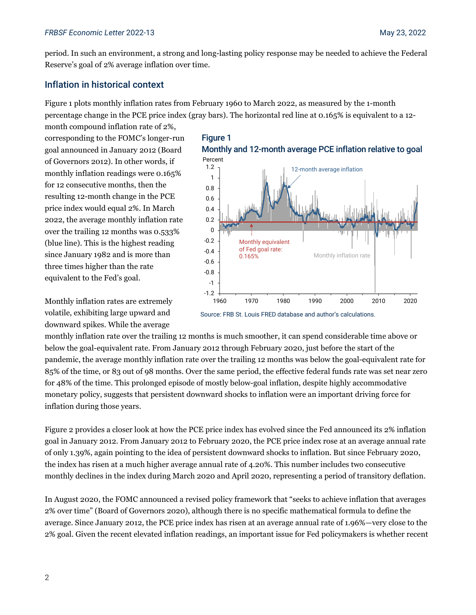period. In such an environment, a strong and long-lasting policy response may be needed to achieve the Federal Reserve's goal of 2% average inflation over time.

# Inflation in historical context

Figure 1 plots monthly inflation rates from February 1960 to March 2022, as measured by the 1-month percentage change in the PCE price index (gray bars). The horizontal red line at 0.165% is equivalent to a 12-

month compound inflation rate of 2%, corresponding to the FOMC's longer-run goal announced in January 2012 (Board of Governors 2012). In other words, if monthly inflation readings were 0.165% for 12 consecutive months, then the resulting 12-month change in the PCE price index would equal 2%. In March 2022, the average monthly inflation rate over the trailing 12 months was 0.533% (blue line). This is the highest reading since January 1982 and is more than three times higher than the rate equivalent to the Fed's goal.



Source: FRB St. Louis FRED database and author's calculations.

Monthly inflation rates are extremely volatile, exhibiting large upward and downward spikes. While the average

monthly inflation rate over the trailing 12 months is much smoother, it can spend considerable time above or below the goal-equivalent rate. From January 2012 through February 2020, just before the start of the pandemic, the average monthly inflation rate over the trailing 12 months was below the goal-equivalent rate for 85% of the time, or 83 out of 98 months. Over the same period, the effective federal funds rate was set near zero for 48% of the time. This prolonged episode of mostly below-goal inflation, despite highly accommodative monetary policy, suggests that persistent downward shocks to inflation were an important driving force for inflation during those years.

Figure 2 provides a closer look at how the PCE price index has evolved since the Fed announced its 2% inflation goal in January 2012. From January 2012 to February 2020, the PCE price index rose at an average annual rate of only 1.39%, again pointing to the idea of persistent downward shocks to inflation. But since February 2020, the index has risen at a much higher average annual rate of 4.20%. This number includes two consecutive monthly declines in the index during March 2020 and April 2020, representing a period of transitory deflation.

In August 2020, the FOMC announced a revised policy framework that "seeks to achieve inflation that averages 2% over time" (Board of Governors 2020), although there is no specific mathematical formula to define the average. Since January 2012, the PCE price index has risen at an average annual rate of 1.96%—very close to the 2% goal. Given the recent elevated inflation readings, an important issue for Fed policymakers is whether recent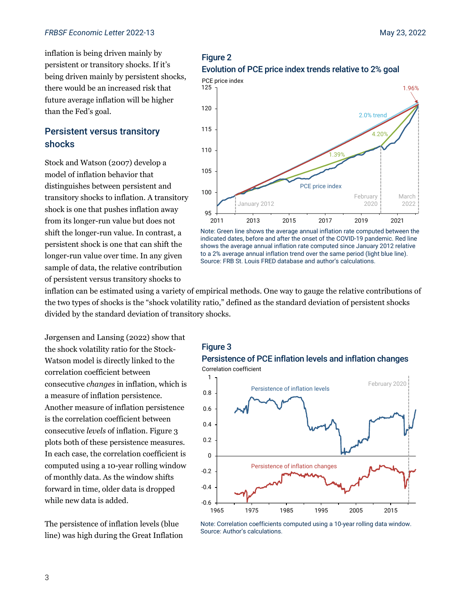inflation is being driven mainly by persistent or transitory shocks. If it's being driven mainly by persistent shocks, there would be an increased risk that future average inflation will be higher than the Fed's goal.

# Persistent versus transitory shocks

Stock and Watson (2007) develop a model of inflation behavior that distinguishes between persistent and transitory shocks to inflation. A transitory shock is one that pushes inflation away from its longer-run value but does not shift the longer-run value. In contrast, a persistent shock is one that can shift the longer-run value over time. In any given sample of data, the relative contribution of persistent versus transitory shocks to





Note: Green line shows the average annual inflation rate computed between the indicated dates, before and after the onset of the COVID-19 pandemic. Red line shows the average annual inflation rate computed since January 2012 relative to a 2% average annual inflation trend over the same period (light blue line). Source: FRB St. Louis FRED database and author's calculations.

inflation can be estimated using a variety of empirical methods. One way to gauge the relative contributions of the two types of shocks is the "shock volatility ratio," defined as the standard deviation of persistent shocks divided by the standard deviation of transitory shocks.

Jørgensen and Lansing (2022) show that the shock volatility ratio for the Stock-Watson model is directly linked to the correlation coefficient between consecutive *changes* in inflation, which is a measure of inflation persistence. Another measure of inflation persistence is the correlation coefficient between consecutive *levels* of inflation. Figure 3 plots both of these persistence measures. In each case, the correlation coefficient is computed using a 10-year rolling window of monthly data. As the window shifts forward in time, older data is dropped while new data is added.

The persistence of inflation levels (blue line) was high during the Great Inflation

#### Figure 3





Note: Correlation coefficients computed using a 10-year rolling data window. Source: Author's calculations.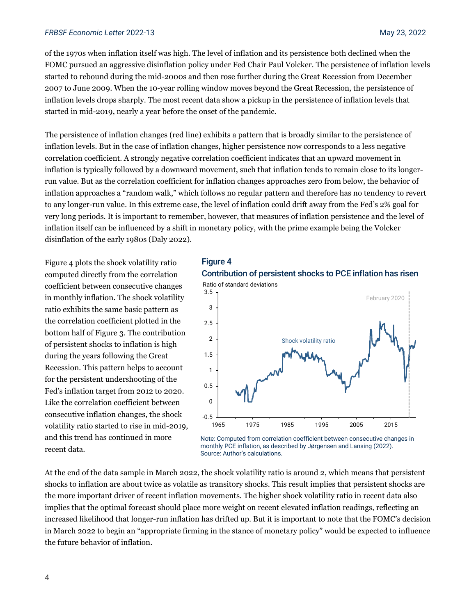#### *FRBSF Economic Letter* 2022-13 May 23, 2022

of the 1970s when inflation itself was high. The level of inflation and its persistence both declined when the FOMC pursued an aggressive disinflation policy under Fed Chair Paul Volcker. The persistence of inflation levels started to rebound during the mid-2000s and then rose further during the Great Recession from December 2007 to June 2009. When the 10-year rolling window moves beyond the Great Recession, the persistence of inflation levels drops sharply. The most recent data show a pickup in the persistence of inflation levels that started in mid-2019, nearly a year before the onset of the pandemic.

The persistence of inflation changes (red line) exhibits a pattern that is broadly similar to the persistence of inflation levels. But in the case of inflation changes, higher persistence now corresponds to a less negative correlation coefficient. A strongly negative correlation coefficient indicates that an upward movement in inflation is typically followed by a downward movement, such that inflation tends to remain close to its longerrun value. But as the correlation coefficient for inflation changes approaches zero from below, the behavior of inflation approaches a "random walk," which follows no regular pattern and therefore has no tendency to revert to any longer-run value. In this extreme case, the level of inflation could drift away from the Fed's 2% goal for very long periods. It is important to remember, however, that measures of inflation persistence and the level of inflation itself can be influenced by a shift in monetary policy, with the prime example being the Volcker disinflation of the early 1980s (Daly 2022).

Figure 4 plots the shock volatility ratio computed directly from the correlation coefficient between consecutive changes in monthly inflation. The shock volatility ratio exhibits the same basic pattern as the correlation coefficient plotted in the bottom half of Figure 3. The contribution of persistent shocks to inflation is high during the years following the Great Recession. This pattern helps to account for the persistent undershooting of the Fed's inflation target from 2012 to 2020. Like the correlation coefficient between consecutive inflation changes, the shock volatility ratio started to rise in mid-2019, and this trend has continued in more recent data.

# Figure 4



Note: Computed from correlation coefficient between consecutive changes in monthly PCE inflation, as described by Jørgensen and Lansing (2022). Source: Author's calculations.

At the end of the data sample in March 2022, the shock volatility ratio is around 2, which means that persistent shocks to inflation are about twice as volatile as transitory shocks. This result implies that persistent shocks are the more important driver of recent inflation movements. The higher shock volatility ratio in recent data also implies that the optimal forecast should place more weight on recent elevated inflation readings, reflecting an increased likelihood that longer-run inflation has drifted up. But it is important to note that the FOMC's decision in March 2022 to begin an "appropriate firming in the stance of monetary policy" would be expected to influence the future behavior of inflation.